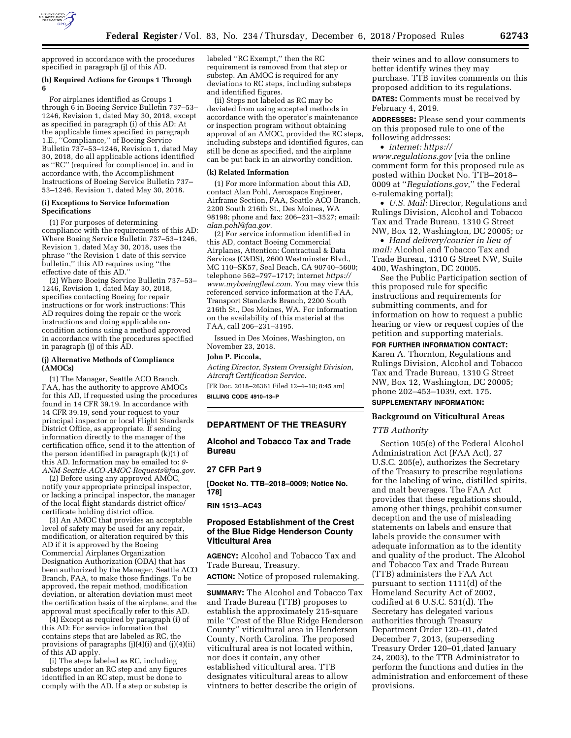

approved in accordance with the procedures specified in paragraph (j) of this AD.

# **(h) Required Actions for Groups 1 Through 6**

For airplanes identified as Groups 1 through 6 in Boeing Service Bulletin 737–53– 1246, Revision 1, dated May 30, 2018, except as specified in paragraph (i) of this AD: At the applicable times specified in paragraph 1.E., ''Compliance,'' of Boeing Service Bulletin 737–53–1246, Revision 1, dated May 30, 2018, do all applicable actions identified as ''RC'' (required for compliance) in, and in accordance with, the Accomplishment Instructions of Boeing Service Bulletin 737– 53–1246, Revision 1, dated May 30, 2018.

#### **(i) Exceptions to Service Information Specifications**

(1) For purposes of determining compliance with the requirements of this AD: Where Boeing Service Bulletin 737–53–1246, Revision 1, dated May 30, 2018, uses the phrase ''the Revision 1 date of this service bulletin,'' this AD requires using ''the effective date of this AD.''

(2) Where Boeing Service Bulletin 737–53– 1246, Revision 1, dated May 30, 2018, specifies contacting Boeing for repair instructions or for work instructions: This AD requires doing the repair or the work instructions and doing applicable oncondition actions using a method approved in accordance with the procedures specified in paragraph (j) of this AD.

#### **(j) Alternative Methods of Compliance (AMOCs)**

(1) The Manager, Seattle ACO Branch, FAA, has the authority to approve AMOCs for this AD, if requested using the procedures found in 14 CFR 39.19. In accordance with 14 CFR 39.19, send your request to your principal inspector or local Flight Standards District Office, as appropriate. If sending information directly to the manager of the certification office, send it to the attention of the person identified in paragraph (k)(1) of this AD. Information may be emailed to: *[9-](mailto:9-ANM-Seattle-ACO-AMOC-Requests@faa.gov)  [ANM-Seattle-ACO-AMOC-Requests@faa.gov.](mailto:9-ANM-Seattle-ACO-AMOC-Requests@faa.gov)* 

(2) Before using any approved AMOC, notify your appropriate principal inspector, or lacking a principal inspector, the manager of the local flight standards district office/ certificate holding district office.

(3) An AMOC that provides an acceptable level of safety may be used for any repair, modification, or alteration required by this AD if it is approved by the Boeing Commercial Airplanes Organization Designation Authorization (ODA) that has been authorized by the Manager, Seattle ACO Branch, FAA, to make those findings. To be approved, the repair method, modification deviation, or alteration deviation must meet the certification basis of the airplane, and the approval must specifically refer to this AD.

(4) Except as required by paragraph (i) of this AD: For service information that contains steps that are labeled as RC, the provisions of paragraphs (j)(4)(i) and (j)(4)(ii) of this AD apply.

(i) The steps labeled as RC, including substeps under an RC step and any figures identified in an RC step, must be done to comply with the AD. If a step or substep is

labeled ''RC Exempt,'' then the RC requirement is removed from that step or substep. An AMOC is required for any deviations to RC steps, including substeps and identified figures.

(ii) Steps not labeled as RC may be deviated from using accepted methods in accordance with the operator's maintenance or inspection program without obtaining approval of an AMOC, provided the RC steps, including substeps and identified figures, can still be done as specified, and the airplane can be put back in an airworthy condition.

## **(k) Related Information**

(1) For more information about this AD, contact Alan Pohl, Aerospace Engineer, Airframe Section, FAA, Seattle ACO Branch, 2200 South 216th St., Des Moines, WA 98198; phone and fax: 206–231–3527; email: *[alan.pohl@faa.gov.](mailto:alan.pohl@faa.gov)* 

(2) For service information identified in this AD, contact Boeing Commercial Airplanes, Attention: Contractual & Data Services (C&DS), 2600 Westminster Blvd., MC 110–SK57, Seal Beach, CA 90740–5600; telephone 562–797–1717; internet *[https://](https://www.myboeingfleet.com) [www.myboeingfleet.com.](https://www.myboeingfleet.com)* You may view this referenced service information at the FAA, Transport Standards Branch, 2200 South 216th St., Des Moines, WA. For information on the availability of this material at the FAA, call 206–231–3195.

Issued in Des Moines, Washington, on November 23, 2018.

# **John P. Piccola,**

*Acting Director, System Oversight Division, Aircraft Certification Service.* 

[FR Doc. 2018–26361 Filed 12–4–18; 8:45 am] **BILLING CODE 4910–13–P** 

## **DEPARTMENT OF THE TREASURY**

**Alcohol and Tobacco Tax and Trade Bureau** 

#### **27 CFR Part 9**

**[Docket No. TTB–2018–0009; Notice No. 178]** 

**RIN 1513–AC43** 

# **Proposed Establishment of the Crest of the Blue Ridge Henderson County Viticultural Area**

**AGENCY:** Alcohol and Tobacco Tax and Trade Bureau, Treasury.

**ACTION:** Notice of proposed rulemaking.

**SUMMARY:** The Alcohol and Tobacco Tax and Trade Bureau (TTB) proposes to establish the approximately 215-square mile ''Crest of the Blue Ridge Henderson County'' viticultural area in Henderson County, North Carolina. The proposed viticultural area is not located within, nor does it contain, any other established viticultural area. TTB designates viticultural areas to allow vintners to better describe the origin of

their wines and to allow consumers to better identify wines they may purchase. TTB invites comments on this proposed addition to its regulations.

**DATES:** Comments must be received by February 4, 2019.

**ADDRESSES:** Please send your comments on this proposed rule to one of the following addresses:

• *internet: [https://](https://www.regulations.gov)*

*[www.regulations.gov](https://www.regulations.gov)* (via the online comment form for this proposed rule as posted within Docket No. TTB–2018– 0009 at ''*Regulations.gov*,'' the Federal e-rulemaking portal);

• *U.S. Mail:* Director, Regulations and Rulings Division, Alcohol and Tobacco Tax and Trade Bureau, 1310 G Street NW, Box 12, Washington, DC 20005; or

• *Hand delivery/courier in lieu of mail:* Alcohol and Tobacco Tax and Trade Bureau, 1310 G Street NW, Suite 400, Washington, DC 20005.

See the Public Participation section of this proposed rule for specific instructions and requirements for submitting comments, and for information on how to request a public hearing or view or request copies of the petition and supporting materials.

# **FOR FURTHER INFORMATION CONTACT:**

Karen A. Thornton, Regulations and Rulings Division, Alcohol and Tobacco Tax and Trade Bureau, 1310 G Street NW, Box 12, Washington, DC 20005; phone 202–453–1039, ext. 175.

# **SUPPLEMENTARY INFORMATION:**

#### **Background on Viticultural Areas**

## *TTB Authority*

Section 105(e) of the Federal Alcohol Administration Act (FAA Act), 27 U.S.C. 205(e), authorizes the Secretary of the Treasury to prescribe regulations for the labeling of wine, distilled spirits, and malt beverages. The FAA Act provides that these regulations should, among other things, prohibit consumer deception and the use of misleading statements on labels and ensure that labels provide the consumer with adequate information as to the identity and quality of the product. The Alcohol and Tobacco Tax and Trade Bureau (TTB) administers the FAA Act pursuant to section 1111(d) of the Homeland Security Act of 2002, codified at 6 U.S.C. 531(d). The Secretary has delegated various authorities through Treasury Department Order 120–01, dated December 7, 2013, (superseding Treasury Order 120–01,dated January 24, 2003), to the TTB Administrator to perform the functions and duties in the administration and enforcement of these provisions.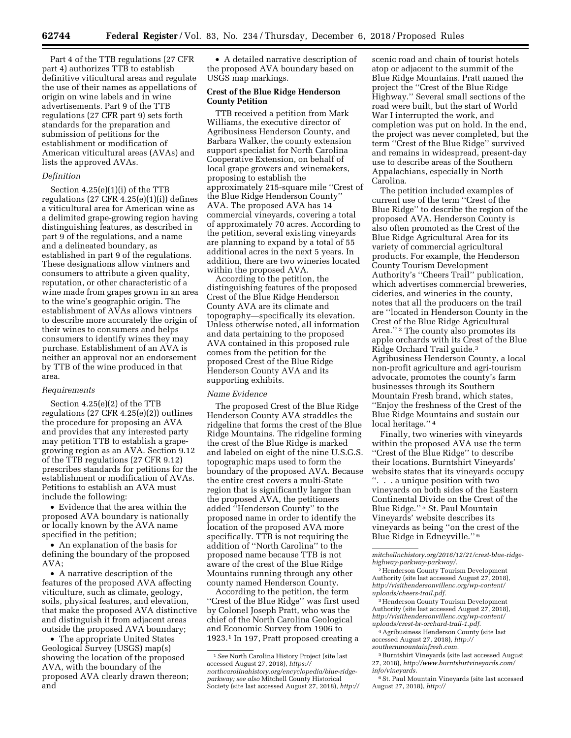Part 4 of the TTB regulations (27 CFR part 4) authorizes TTB to establish definitive viticultural areas and regulate the use of their names as appellations of origin on wine labels and in wine advertisements. Part 9 of the TTB regulations (27 CFR part 9) sets forth standards for the preparation and submission of petitions for the establishment or modification of American viticultural areas (AVAs) and lists the approved AVAs.

#### *Definition*

Section 4.25(e)(1)(i) of the TTB regulations  $(27 \text{ CFR } 4.25(e)(1)(i))$  defines a viticultural area for American wine as a delimited grape-growing region having distinguishing features, as described in part 9 of the regulations, and a name and a delineated boundary, as established in part 9 of the regulations. These designations allow vintners and consumers to attribute a given quality, reputation, or other characteristic of a wine made from grapes grown in an area to the wine's geographic origin. The establishment of AVAs allows vintners to describe more accurately the origin of their wines to consumers and helps consumers to identify wines they may purchase. Establishment of an AVA is neither an approval nor an endorsement by TTB of the wine produced in that area.

#### *Requirements*

Section 4.25(e)(2) of the TTB regulations (27 CFR 4.25(e)(2)) outlines the procedure for proposing an AVA and provides that any interested party may petition TTB to establish a grapegrowing region as an AVA. Section 9.12 of the TTB regulations (27 CFR 9.12) prescribes standards for petitions for the establishment or modification of AVAs. Petitions to establish an AVA must include the following:

• Evidence that the area within the proposed AVA boundary is nationally or locally known by the AVA name specified in the petition;

• An explanation of the basis for defining the boundary of the proposed AVA;

• A narrative description of the features of the proposed AVA affecting viticulture, such as climate, geology, soils, physical features, and elevation, that make the proposed AVA distinctive and distinguish it from adjacent areas outside the proposed AVA boundary;

• The appropriate United States Geological Survey (USGS) map(s) showing the location of the proposed AVA, with the boundary of the proposed AVA clearly drawn thereon; and

• A detailed narrative description of the proposed AVA boundary based on USGS map markings.

# **Crest of the Blue Ridge Henderson County Petition**

TTB received a petition from Mark Williams, the executive director of Agribusiness Henderson County, and Barbara Walker, the county extension support specialist for North Carolina Cooperative Extension, on behalf of local grape growers and winemakers, proposing to establish the approximately 215-square mile ''Crest of the Blue Ridge Henderson County'' AVA. The proposed AVA has 14 commercial vineyards, covering a total of approximately 70 acres. According to the petition, several existing vineyards are planning to expand by a total of 55 additional acres in the next 5 years. In addition, there are two wineries located within the proposed AVA.

According to the petition, the distinguishing features of the proposed Crest of the Blue Ridge Henderson County AVA are its climate and topography—specifically its elevation. Unless otherwise noted, all information and data pertaining to the proposed AVA contained in this proposed rule comes from the petition for the proposed Crest of the Blue Ridge Henderson County AVA and its supporting exhibits.

#### *Name Evidence*

The proposed Crest of the Blue Ridge Henderson County AVA straddles the ridgeline that forms the crest of the Blue Ridge Mountains. The ridgeline forming the crest of the Blue Ridge is marked and labeled on eight of the nine U.S.G.S. topographic maps used to form the boundary of the proposed AVA. Because the entire crest covers a multi-State region that is significantly larger than the proposed AVA, the petitioners added ''Henderson County'' to the proposed name in order to identify the location of the proposed AVA more specifically. TTB is not requiring the addition of ''North Carolina'' to the proposed name because TTB is not aware of the crest of the Blue Ridge Mountains running through any other county named Henderson County.

According to the petition, the term ''Crest of the Blue Ridge'' was first used by Colonel Joseph Pratt, who was the chief of the North Carolina Geological and Economic Survey from 1906 to 1923.1 In 197, Pratt proposed creating a

scenic road and chain of tourist hotels atop or adjacent to the summit of the Blue Ridge Mountains. Pratt named the project the ''Crest of the Blue Ridge Highway.'' Several small sections of the road were built, but the start of World War I interrupted the work, and completion was put on hold. In the end, the project was never completed, but the term ''Crest of the Blue Ridge'' survived and remains in widespread, present-day use to describe areas of the Southern Appalachians, especially in North Carolina.

The petition included examples of current use of the term ''Crest of the Blue Ridge'' to describe the region of the proposed AVA. Henderson County is also often promoted as the Crest of the Blue Ridge Agricultural Area for its variety of commercial agricultural products. For example, the Henderson County Tourism Development Authority's ''Cheers Trail'' publication, which advertises commercial breweries, cideries, and wineries in the county, notes that all the producers on the trail are ''located in Henderson County in the Crest of the Blue Ridge Agricultural Area."<sup>2</sup> The county also promotes its apple orchards with its Crest of the Blue Ridge Orchard Trail guide.3 Agribusiness Henderson County, a local non-profit agriculture and agri-tourism advocate, promotes the county's farm businesses through its Southern Mountain Fresh brand, which states, ''Enjoy the freshness of the Crest of the Blue Ridge Mountains and sustain our local heritage."<sup>4</sup>

Finally, two wineries with vineyards within the proposed AVA use the term ''Crest of the Blue Ridge'' to describe their locations. Burntshirt Vineyards' website states that its vineyards occupy ''. . . a unique position with two vineyards on both sides of the Eastern Continental Divide on the Crest of the Blue Ridge.'' 5 St. Paul Mountain Vineyards' website describes its vineyards as being ''on the crest of the Blue Ridge in Edneyville.'' 6

*[mitchellnchistory.org/2016/12/21/crest-blue-ridge](http://mitchellnchistory.org/2016/12/21/crest-blue-ridge-highway-parkway-parkway/)[highway-parkway-parkway/.](http://mitchellnchistory.org/2016/12/21/crest-blue-ridge-highway-parkway-parkway/)* 

2Henderson County Tourism Development Authority (site last accessed August 27, 2018), *[http://visithendersonvillenc.org/wp-content/](http://visithendersonvillenc.org/wp-content/uploads/cheers-trail.pdf) [uploads/cheers-trail.pdf.](http://visithendersonvillenc.org/wp-content/uploads/cheers-trail.pdf)* 

3Henderson County Tourism Development Authority (site last accessed August 27, 2018), *[http://visithendersonvillenc.org/wp-content/](http://visithendersonvillenc.org/wp-content/uploads/crest-br-orchard-trail-1.pdf) [uploads/crest-br-orchard-trail-1.pdf.](http://visithendersonvillenc.org/wp-content/uploads/crest-br-orchard-trail-1.pdf)* 

4Agribusiness Henderson County (site last accessed August 27, 2018), *[http://](http://southernmountainfresh.com) [southernmountainfresh.com.](http://southernmountainfresh.com)* 

5Burntshirt Vineyards (site last accessed August

27, 2018), *[http://www.burntshirtvineyards.com/](http://www.burntshirtvineyards.com/info/vineyards)  [info/vineyards.](http://www.burntshirtvineyards.com/info/vineyards)* 

6St. Paul Mountain Vineyards (site last accessed August 27, 2018), *[http://](http://saintpaulmountainvineyards.com/scripts/historyPg.cfm)* 

<sup>1</sup>*See* North Carolina History Project (site last accessed August 27, 2018), *[https://](https://northcarolinahistory.org/encyclopedia/blue-ridge-parkway) [northcarolinahistory.org/encyclopedia/blue-ridge](https://northcarolinahistory.org/encyclopedia/blue-ridge-parkway)[parkway;](https://northcarolinahistory.org/encyclopedia/blue-ridge-parkway) see also* Mitchell County Historical Society (site last accessed August 27, 2018), *[http://](http://mitchellnchistory.org/2016/12/21/crest-blue-ridge-highway-parkway-parkway/)*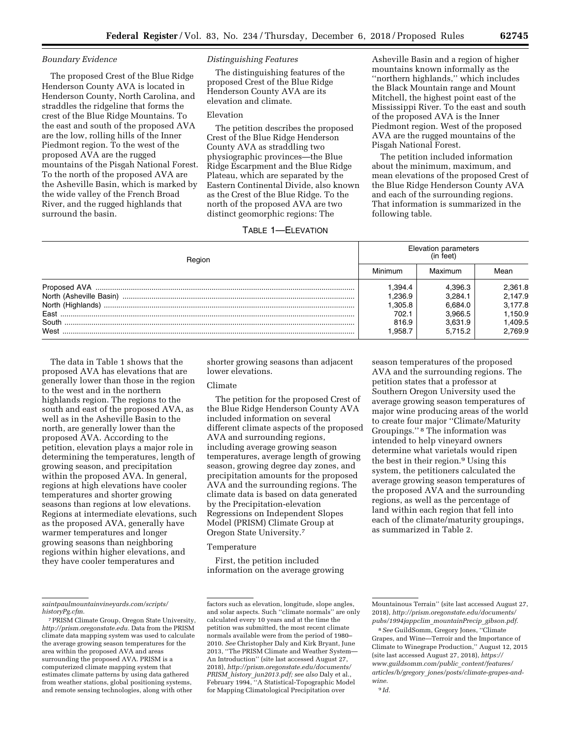# *Boundary Evidence*

The proposed Crest of the Blue Ridge Henderson County AVA is located in Henderson County, North Carolina, and straddles the ridgeline that forms the crest of the Blue Ridge Mountains. To the east and south of the proposed AVA are the low, rolling hills of the Inner Piedmont region. To the west of the proposed AVA are the rugged mountains of the Pisgah National Forest. To the north of the proposed AVA are the Asheville Basin, which is marked by the wide valley of the French Broad River, and the rugged highlands that surround the basin.

# *Distinguishing Features*

The distinguishing features of the proposed Crest of the Blue Ridge Henderson County AVA are its elevation and climate.

# Elevation

The petition describes the proposed Crest of the Blue Ridge Henderson County AVA as straddling two physiographic provinces—the Blue Ridge Escarpment and the Blue Ridge Plateau, which are separated by the Eastern Continental Divide, also known as the Crest of the Blue Ridge. To the north of the proposed AVA are two distinct geomorphic regions: The

# TABLE 1—ELEVATION

Asheville Basin and a region of higher mountains known informally as the ''northern highlands,'' which includes the Black Mountain range and Mount Mitchell, the highest point east of the Mississippi River. To the east and south of the proposed AVA is the Inner Piedmont region. West of the proposed AVA are the rugged mountains of the Pisgah National Forest.

The petition included information about the minimum, maximum, and mean elevations of the proposed Crest of the Blue Ridge Henderson County AVA and each of the surrounding regions. That information is summarized in the following table.

| Region                  | Elevation parameters<br>(in feet) |         |         |  |  |
|-------------------------|-----------------------------------|---------|---------|--|--|
|                         | Minimum                           | Maximum | Mean    |  |  |
|                         | 1.394.4                           | 4.396.3 | 2,361.8 |  |  |
| North (Asheville Basin) | 1.236.9                           | 3.284.1 | 2.147.9 |  |  |
| North (Highlands)       | 1.305.8                           | 6.684.0 | 3,177.8 |  |  |
| East                    | 702.1                             | 3.966.5 | 1.150.9 |  |  |
| South                   | 816.9                             | 3.631.9 | 1,409.5 |  |  |
| West                    | 1.958.7                           | 5.715.2 | 2.769.9 |  |  |

The data in Table 1 shows that the proposed AVA has elevations that are generally lower than those in the region to the west and in the northern highlands region. The regions to the south and east of the proposed AVA, as well as in the Asheville Basin to the north, are generally lower than the proposed AVA. According to the petition, elevation plays a major role in determining the temperatures, length of growing season, and precipitation within the proposed AVA. In general, regions at high elevations have cooler temperatures and shorter growing seasons than regions at low elevations. Regions at intermediate elevations, such as the proposed AVA, generally have warmer temperatures and longer growing seasons than neighboring regions within higher elevations, and they have cooler temperatures and

shorter growing seasons than adjacent lower elevations.

# Climate

The petition for the proposed Crest of the Blue Ridge Henderson County AVA included information on several different climate aspects of the proposed AVA and surrounding regions, including average growing season temperatures, average length of growing season, growing degree day zones, and precipitation amounts for the proposed AVA and the surrounding regions. The climate data is based on data generated by the Precipitation-elevation Regressions on Independent Slopes Model (PRISM) Climate Group at Oregon State University.7

## Temperature

First, the petition included information on the average growing

season temperatures of the proposed AVA and the surrounding regions. The petition states that a professor at Southern Oregon University used the average growing season temperatures of major wine producing areas of the world to create four major ''Climate/Maturity Groupings.'' 8 The information was intended to help vineyard owners determine what varietals would ripen the best in their region.9 Using this system, the petitioners calculated the average growing season temperatures of the proposed AVA and the surrounding regions, as well as the percentage of land within each region that fell into each of the climate/maturity groupings, as summarized in Table 2.

*[saintpaulmountainvineyards.com/scripts/](http://saintpaulmountainvineyards.com/scripts/historyPg.cfm)  [historyPg.cfm.](http://saintpaulmountainvineyards.com/scripts/historyPg.cfm)* 

<sup>7</sup>PRISM Climate Group, Oregon State University, *[http://prism.oregonstate.edu.](http://prism.oregonstate.edu)* Data from the PRISM climate data mapping system was used to calculate the average growing season temperatures for the area within the proposed AVA and areas surrounding the proposed AVA. PRISM is a computerized climate mapping system that estimates climate patterns by using data gathered from weather stations, global positioning systems, and remote sensing technologies, along with other

factors such as elevation, longitude, slope angles, and solar aspects. Such ''climate normals'' are only calculated every 10 years and at the time the petition was submitted, the most recent climate normals available were from the period of 1980– 2010. *See* Christopher Daly and Kirk Bryant, June 2013, ''The PRISM Climate and Weather System— An Introduction'' (site last accessed August 27, 2018), *[http://prism.oregonstate.edu/documents/](http://prism.oregonstate.edu/documents/PRISM_history_jun2013.pdf)  PRISM*\_*history*\_*[jun2013.pdf;](http://prism.oregonstate.edu/documents/PRISM_history_jun2013.pdf) see also* Daly et al., February 1994, ''A Statistical-Topographic Model for Mapping Climatological Precipitation over

Mountainous Terrain'' (site last accessed August 27, 2018), *[http://prism.oregonstate.edu/documents/](http://prism.oregonstate.edu/documents/pubs/1994jappclim_mountainPrecip_gibson.pdf)  [pubs/1994jappclim](http://prism.oregonstate.edu/documents/pubs/1994jappclim_mountainPrecip_gibson.pdf)*\_*mountainPrecip*\_*gibson.pdf.* 

<sup>8</sup>*See* GuildSomm, Gregory Jones, ''Climate Grapes, and Wine—Terroir and the Importance of Climate to Winegrape Production,'' August 12, 2015 (site last accessed August 27, 2018), *[https://](https://www.guildsomm.com/public_content/features/articles/b/gregory_jones/posts/climate-grapes-and-wine) [www.guildsomm.com/public](https://www.guildsomm.com/public_content/features/articles/b/gregory_jones/posts/climate-grapes-and-wine)*\_*content/features/ articles/b/gregory*\_*[jones/posts/climate-grapes-and](https://www.guildsomm.com/public_content/features/articles/b/gregory_jones/posts/climate-grapes-and-wine)[wine.](https://www.guildsomm.com/public_content/features/articles/b/gregory_jones/posts/climate-grapes-and-wine)*  9 *Id.*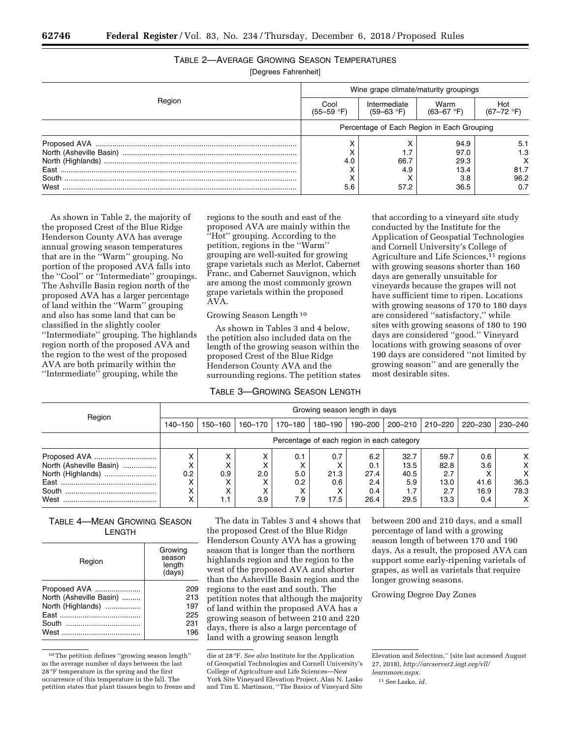| TABLE 2-AVERAGE GROWING SEASON TEMPERATURES |  |  |
|---------------------------------------------|--|--|
|                                             |  |  |

[Degrees Fahrenheit]

|        | Wine grape climate/maturity groupings      |                                       |                         |                       |  |  |
|--------|--------------------------------------------|---------------------------------------|-------------------------|-----------------------|--|--|
| Region | Cool<br>$(55 - 59 \degree F)$              | Intermediate<br>$(59 - 63 \degree F)$ | Warm<br>$(63 - 67)$ °F) | Hot<br>$(67 - 72$ °F) |  |  |
|        | Percentage of Each Region in Each Grouping |                                       |                         |                       |  |  |
|        |                                            |                                       | 94.9                    | 5.1                   |  |  |
|        |                                            |                                       | 97.0                    | 1.3                   |  |  |
|        | 4.0                                        | 66.7                                  | 29.3                    |                       |  |  |
|        |                                            | 4.9                                   | 13.4                    | 81.7                  |  |  |
|        |                                            |                                       | 3.8                     | 96.2                  |  |  |
|        | 5.6                                        | 57.2                                  | 36.5                    | 0.7                   |  |  |

As shown in Table 2, the majority of the proposed Crest of the Blue Ridge Henderson County AVA has average annual growing season temperatures that are in the ''Warm'' grouping. No portion of the proposed AVA falls into the ''Cool'' or ''Intermediate'' groupings. The Ashville Basin region north of the proposed AVA has a larger percentage of land within the ''Warm'' grouping and also has some land that can be classified in the slightly cooler ''Intermediate'' grouping. The highlands region north of the proposed AVA and the region to the west of the proposed AVA are both primarily within the ''Intermediate'' grouping, while the

regions to the south and east of the proposed AVA are mainly within the 'Hot'' grouping. According to the petition, regions in the ''Warm'' grouping are well-suited for growing grape varietals such as Merlot, Cabernet Franc, and Cabernet Sauvignon, which are among the most commonly grown grape varietals within the proposed AVA.

## Growing Season Length 10

As shown in Tables 3 and 4 below, the petition also included data on the length of the growing season within the proposed Crest of the Blue Ridge Henderson County AVA and the surrounding regions. The petition states

# TABLE 3—GROWING SEASON LENGTH

that according to a vineyard site study conducted by the Institute for the Application of Geospatial Technologies and Cornell University's College of Agriculture and Life Sciences,<sup>11</sup> regions with growing seasons shorter than 160 days are generally unsuitable for vineyards because the grapes will not have sufficient time to ripen. Locations with growing seasons of 170 to 180 days are considered ''satisfactory,'' while sites with growing seasons of 180 to 190 days are considered ''good.'' Vineyard locations with growing seasons of over 190 days are considered ''not limited by growing season'' and are generally the most desirable sites.

|                         |                                            | Growing season length in days |         |               |         |         |             |         |         |         |
|-------------------------|--------------------------------------------|-------------------------------|---------|---------------|---------|---------|-------------|---------|---------|---------|
| Region                  | 140-150                                    | 150-160                       | 160-170 | 170-180       | 180-190 | 190-200 | $200 - 210$ | 210-220 | 220-230 | 230–240 |
|                         | Percentage of each region in each category |                               |         |               |         |         |             |         |         |         |
|                         |                                            | x                             | х       | 0.1           | 0.7     | 6.2     | 32.7        | 59.7    | 0.6     | x       |
| North (Asheville Basin) |                                            |                               |         |               |         | 0.1     | 13.5        | 82.8    | 3.6     | x       |
| North (Highlands)       | 0.2                                        | 0.9                           | 2.0     | 5.0           | 21.3    | 27.4    | 40.5        | 2.7     |         | x       |
|                         |                                            |                               |         | $0.2^{\circ}$ | 0.6     | 2.4     | 5.9         | 13.0    | 41.6    | 36.3    |
|                         |                                            |                               | х       |               |         | 0.4     |             | 2.7     | 16.9    | 78.3    |
| West                    |                                            | 1.1                           | 3.9     | 7.9           | 17.5    | 26.4    | 29.5        | 13.3    | 0.4     | x       |

# TABLE 4—MEAN GROWING SEASON LENGTH

| Region                                                                | Growing<br>season<br>length<br>(days)  |
|-----------------------------------------------------------------------|----------------------------------------|
| Proposed AVA<br>North (Asheville Basin)<br>North (Highlands)<br>South | 209<br>213<br>197<br>225<br>231<br>196 |

10The petition defines ''growing season length'' as the average number of days between the last 28 °F temperature in the spring and the first occurrence of this temperature in the fall. The petition states that plant tissues begin to freeze and

The data in Tables 3 and 4 shows that the proposed Crest of the Blue Ridge Henderson County AVA has a growing season that is longer than the northern highlands region and the region to the west of the proposed AVA and shorter than the Asheville Basin region and the regions to the east and south. The petition notes that although the majority of land within the proposed AVA has a growing season of between 210 and 220 days, there is also a large percentage of land with a growing season length

between 200 and 210 days, and a small percentage of land with a growing season length of between 170 and 190 days. As a result, the proposed AVA can support some early-ripening varietals of grapes, as well as varietals that require longer growing seasons.

Growing Degree Day Zones

11*See* Lasko, *id.* 

die at 28 °F. *See also* Institute for the Application of Geospatial Technologies and Cornell University's College of Agriculture and Life Sciences—New York Site Vineyard Elevation Project, Alan N. Lasko and Tim E. Martinson, ''The Basics of Vineyard Site

Elevation and Selection,'' (site last accessed August 27, 2018), *[http://arcserver2.iagt.org/vll/](http://arcserver2.iagt.org/vll/learnmore.aspx)  [learnmore.aspx.](http://arcserver2.iagt.org/vll/learnmore.aspx)*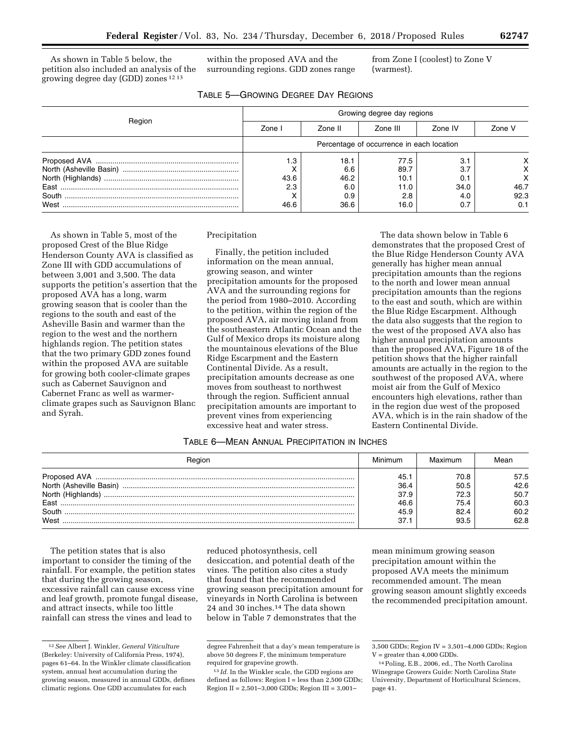As shown in Table 5 below, the petition also included an analysis of the growing degree day (GDD) zones 12 13

within the proposed AVA and the surrounding regions. GDD zones range

TABLE 5—GROWING DEGREE DAY REGIONS

from Zone I (coolest) to Zone V (warmest).

|        | Growing degree day regions                |         |          |         |        |  |  |
|--------|-------------------------------------------|---------|----------|---------|--------|--|--|
| Region | Zone I                                    | Zone II | Zone III | Zone IV | Zone V |  |  |
|        | Percentage of occurrence in each location |         |          |         |        |  |  |
|        | ı.З                                       | 18.1    | 77.5     | 3.1     |        |  |  |
|        |                                           | 6.6     | 89.7     | 3.7     |        |  |  |
|        | 43.6                                      | 46.2    | 10.1     | 0.1     |        |  |  |
|        | 2.3                                       | 6.0     | 11.0     | 34.0    | 46.7   |  |  |
|        |                                           | 0.9     | 2.8      | 4.0     | 92.3   |  |  |
|        | 46.6                                      | 36.6    | 16.0     | 0.7     | 0.1    |  |  |

As shown in Table 5, most of the proposed Crest of the Blue Ridge Henderson County AVA is classified as Zone III with GDD accumulations of between 3,001 and 3,500. The data supports the petition's assertion that the proposed AVA has a long, warm growing season that is cooler than the regions to the south and east of the Asheville Basin and warmer than the region to the west and the northern highlands region. The petition states that the two primary GDD zones found within the proposed AVA are suitable for growing both cooler-climate grapes such as Cabernet Sauvignon and Cabernet Franc as well as warmer-

climate grapes such as Sauvignon Blanc and Syrah.

#### Precipitation

Finally, the petition included information on the mean annual, growing season, and winter precipitation amounts for the proposed AVA and the surrounding regions for the period from 1980–2010. According to the petition, within the region of the proposed AVA, air moving inland from the southeastern Atlantic Ocean and the Gulf of Mexico drops its moisture along the mountainous elevations of the Blue Ridge Escarpment and the Eastern Continental Divide. As a result, precipitation amounts decrease as one moves from southeast to northwest through the region. Sufficient annual precipitation amounts are important to prevent vines from experiencing excessive heat and water stress.

The data shown below in Table 6 demonstrates that the proposed Crest of the Blue Ridge Henderson County AVA generally has higher mean annual precipitation amounts than the regions to the north and lower mean annual precipitation amounts than the regions to the east and south, which are within the Blue Ridge Escarpment. Although the data also suggests that the region to the west of the proposed AVA also has higher annual precipitation amounts than the proposed AVA, Figure 18 of the petition shows that the higher rainfall amounts are actually in the region to the southwest of the proposed AVA, where moist air from the Gulf of Mexico encounters high elevations, rather than in the region due west of the proposed AVA, which is in the rain shadow of the Eastern Continental Divide.

# TABLE 6—MEAN ANNUAL PRECIPITATION IN INCHES

| Region                  |      | Maximum | Mean |
|-------------------------|------|---------|------|
|                         | 45.  | 70.8    | 57.5 |
| North (Asheville Basin) | 36.4 | 50.5    | 42.6 |
| North (Highlands)       | 37.9 | 72.3    | 50.7 |
| Fast                    | 46.6 | 75.4    | 60.3 |
| South                   | 45.9 | 82.4    | 60.2 |
| West                    | 37.1 | 93.5    | 62.8 |

The petition states that is also important to consider the timing of the rainfall. For example, the petition states that during the growing season, excessive rainfall can cause excess vine and leaf growth, promote fungal disease, and attract insects, while too little rainfall can stress the vines and lead to

reduced photosynthesis, cell desiccation, and potential death of the vines. The petition also cites a study that found that the recommended growing season precipitation amount for vineyards in North Carolina is between 24 and 30 inches.14 The data shown below in Table 7 demonstrates that the

mean minimum growing season precipitation amount within the proposed AVA meets the minimum recommended amount. The mean growing season amount slightly exceeds the recommended precipitation amount.

<sup>12</sup>*See* Albert J. Winkler, *General Viticulture*  (Berkeley: University of California Press, 1974), pages 61–64. In the Winkler climate classification system, annual heat accumulation during the growing season, measured in annual GDDs, defines climatic regions. One GDD accumulates for each

degree Fahrenheit that a day's mean temperature is above 50 degrees F, the minimum temperature required for grapevine growth.

<sup>&</sup>lt;sup>13</sup> *Id.* In the Winkler scale, the GDD regions are defined as follows: Region I = less than 2,500 GDDs; Region II = 2,501–3,000 GDDs; Region III = 3,001–

<sup>3,500</sup> GDDs; Region IV = 3,501–4,000 GDDs; Region  $V =$  greater than  $4,000$  GDDs.

<sup>14</sup>Poling, E.B., 2006, ed., The North Carolina Winegrape Growers Guide: North Carolina State University, Department of Horticultural Sciences, page 41.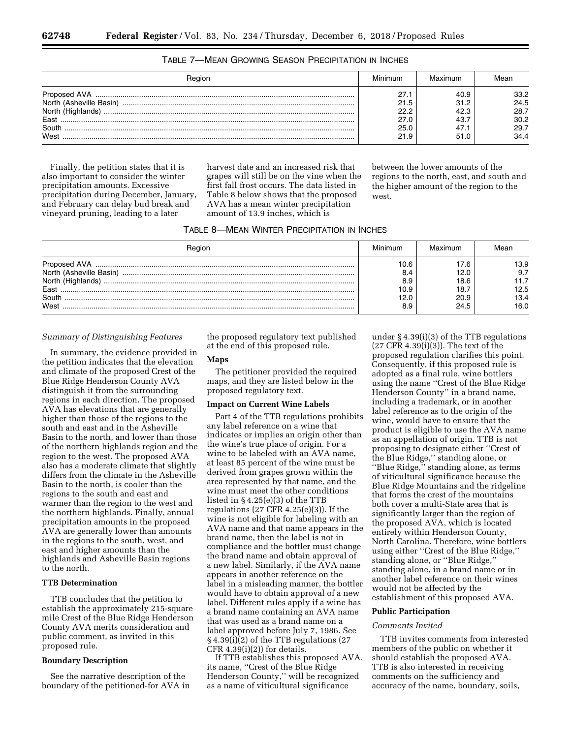| Region                                                                                                                                                                                                                                                                                                                                                                                                            | Minimum | Maximum | Леаn |
|-------------------------------------------------------------------------------------------------------------------------------------------------------------------------------------------------------------------------------------------------------------------------------------------------------------------------------------------------------------------------------------------------------------------|---------|---------|------|
| ${\color{red} 3.5mm} {\color{red} 1.5mm} {\color{red} 1.5mm} {\color{red} 1.5mm} {\color{red} 1.5mm} {\color{red} 1.5mm} {\color{red} 1.5mm} {\color{red} 1.5mm} {\color{red} 1.5mm} {\color{red} 1.5mm} {\color{red} 1.5mm} {\color{red} 1.5mm} {\color{red} 1.5mm} {\color{red} 1.5mm} {\color{red} 1.5mm} {\color{red} 1.5mm} {\color{red} 1.5mm} {\color{red} 1.5mm} {\color{red} 1.5mm} {\color{red} 1.5mm}$ | 27.1    | 40.9    | 33.2 |
| North (Asheville Basin)                                                                                                                                                                                                                                                                                                                                                                                           | 21.5    | 31.2    | 24.5 |
| North (Highlands)                                                                                                                                                                                                                                                                                                                                                                                                 | 22.2    | 42.3    | 28.7 |
| Fast                                                                                                                                                                                                                                                                                                                                                                                                              | 27.0    | 43.     | 30.2 |
| South                                                                                                                                                                                                                                                                                                                                                                                                             | 25.0    | 47.1    | 29.7 |
| West                                                                                                                                                                                                                                                                                                                                                                                                              | 21.9    | 51.C    | 34.4 |

# TABLE 7—MEAN GROWING SEASON PRECIPITATION IN INCHES

Finally, the petition states that it is also important to consider the winter precipitation amounts. Excessive precipitation during December, January, and February can delay bud break and vineyard pruning, leading to a later

harvest date and an increased risk that grapes will still be on the vine when the first fall frost occurs. The data listed in Table 8 below shows that the proposed AVA has a mean winter precipitation amount of 13.9 inches, which is

between the lower amounts of the regions to the north, east, and south and the higher amount of the region to the west.

| Reaior                                                                | Minimum                                   | Maximum                             | Mear                                |
|-----------------------------------------------------------------------|-------------------------------------------|-------------------------------------|-------------------------------------|
| North (Asheville Basin)<br>North (Highlands)<br>Fast<br>South<br>West | 10.6<br>8.4<br>8.9<br>10.9<br>12.0<br>8.9 | 12.0<br>18.6<br>18.<br>20.9<br>24.5 | 13.9<br>9.7<br>12.5<br>13.4<br>16.0 |

## *Summary of Distinguishing Features*

In summary, the evidence provided in the petition indicates that the elevation and climate of the proposed Crest of the Blue Ridge Henderson County AVA distinguish it from the surrounding regions in each direction. The proposed AVA has elevations that are generally higher than those of the regions to the south and east and in the Asheville Basin to the north, and lower than those of the northern highlands region and the region to the west. The proposed AVA also has a moderate climate that slightly differs from the climate in the Asheville Basin to the north, is cooler than the regions to the south and east and warmer than the region to the west and the northern highlands. Finally, annual precipitation amounts in the proposed AVA are generally lower than amounts in the regions to the south, west, and east and higher amounts than the highlands and Asheville Basin regions to the north.

# **TTB Determination**

TTB concludes that the petition to establish the approximately 215-square mile Crest of the Blue Ridge Henderson County AVA merits consideration and public comment, as invited in this proposed rule.

## **Boundary Description**

See the narrative description of the boundary of the petitioned-for AVA in the proposed regulatory text published at the end of this proposed rule.

## **Maps**

The petitioner provided the required maps, and they are listed below in the proposed regulatory text.

#### **Impact on Current Wine Labels**

Part 4 of the TTB regulations prohibits any label reference on a wine that indicates or implies an origin other than the wine's true place of origin. For a wine to be labeled with an AVA name, at least 85 percent of the wine must be derived from grapes grown within the area represented by that name, and the wine must meet the other conditions listed in § 4.25(e)(3) of the TTB regulations  $(27 \text{ CFR } 4.25(e)(3))$ . If the wine is not eligible for labeling with an AVA name and that name appears in the brand name, then the label is not in compliance and the bottler must change the brand name and obtain approval of a new label. Similarly, if the AVA name appears in another reference on the label in a misleading manner, the bottler would have to obtain approval of a new label. Different rules apply if a wine has a brand name containing an AVA name that was used as a brand name on a label approved before July 7, 1986. See  $\S 4.39(i)(2)$  of the TTB regulations (27  $CFR$  4.39(i)(2)) for details.

If TTB establishes this proposed AVA, its name, ''Crest of the Blue Ridge Henderson County,'' will be recognized as a name of viticultural significance

under § 4.39(i)(3) of the TTB regulations (27 CFR 4.39(i)(3)). The text of the proposed regulation clarifies this point. Consequently, if this proposed rule is adopted as a final rule, wine bottlers using the name ''Crest of the Blue Ridge Henderson County'' in a brand name, including a trademark, or in another label reference as to the origin of the wine, would have to ensure that the product is eligible to use the AVA name as an appellation of origin. TTB is not proposing to designate either ''Crest of the Blue Ridge,'' standing alone, or ''Blue Ridge,'' standing alone, as terms of viticultural significance because the Blue Ridge Mountains and the ridgeline that forms the crest of the mountains both cover a multi-State area that is significantly larger than the region of the proposed AVA, which is located entirely within Henderson County, North Carolina. Therefore, wine bottlers using either ''Crest of the Blue Ridge,'' standing alone, or ''Blue Ridge,'' standing alone, in a brand name or in another label reference on their wines would not be affected by the establishment of this proposed AVA.

#### **Public Participation**

## *Comments Invited*

TTB invites comments from interested members of the public on whether it should establish the proposed AVA. TTB is also interested in receiving comments on the sufficiency and accuracy of the name, boundary, soils,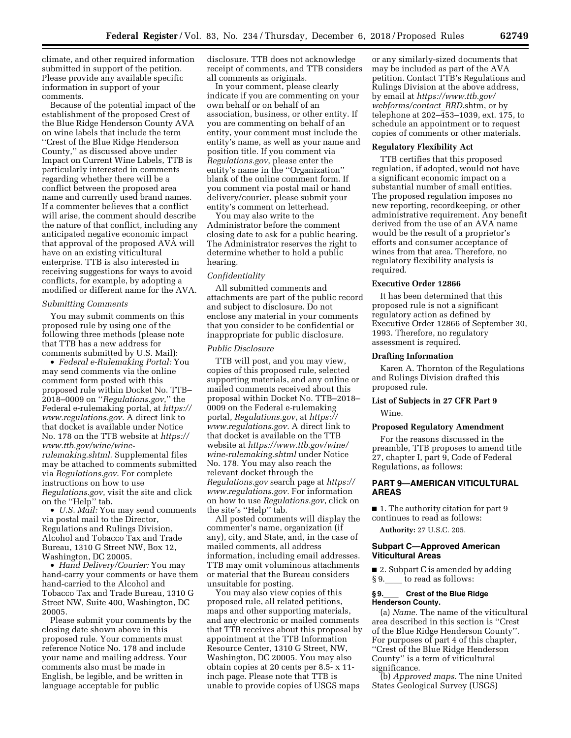climate, and other required information submitted in support of the petition. Please provide any available specific information in support of your comments.

Because of the potential impact of the establishment of the proposed Crest of the Blue Ridge Henderson County AVA on wine labels that include the term ''Crest of the Blue Ridge Henderson County,'' as discussed above under Impact on Current Wine Labels, TTB is particularly interested in comments regarding whether there will be a conflict between the proposed area name and currently used brand names. If a commenter believes that a conflict will arise, the comment should describe the nature of that conflict, including any anticipated negative economic impact that approval of the proposed AVA will have on an existing viticultural enterprise. TTB is also interested in receiving suggestions for ways to avoid conflicts, for example, by adopting a modified or different name for the AVA.

#### *Submitting Comments*

You may submit comments on this proposed rule by using one of the following three methods (please note that TTB has a new address for comments submitted by U.S. Mail):

• *Federal e-Rulemaking Portal:* You may send comments via the online comment form posted with this proposed rule within Docket No. TTB– 2018–0009 on ''*Regulations.gov*,'' the Federal e-rulemaking portal, at *[https://](https://www.regulations.gov) [www.regulations.gov.](https://www.regulations.gov)* A direct link to that docket is available under Notice No. 178 on the TTB website at *[https://](https://www.ttb.gov/wine/wine-rulemaking.shtml)  [www.ttb.gov/wine/wine](https://www.ttb.gov/wine/wine-rulemaking.shtml)[rulemaking.shtml.](https://www.ttb.gov/wine/wine-rulemaking.shtml)* Supplemental files may be attached to comments submitted via *Regulations.gov*. For complete instructions on how to use *Regulations.gov*, visit the site and click on the ''Help'' tab.

• *U.S. Mail:* You may send comments via postal mail to the Director, Regulations and Rulings Division, Alcohol and Tobacco Tax and Trade Bureau, 1310 G Street NW, Box 12, Washington, DC 20005.

• *Hand Delivery/Courier:* You may hand-carry your comments or have them hand-carried to the Alcohol and Tobacco Tax and Trade Bureau, 1310 G Street NW, Suite 400, Washington, DC 20005.

Please submit your comments by the closing date shown above in this proposed rule. Your comments must reference Notice No. 178 and include your name and mailing address. Your comments also must be made in English, be legible, and be written in language acceptable for public

disclosure. TTB does not acknowledge receipt of comments, and TTB considers all comments as originals.

In your comment, please clearly indicate if you are commenting on your own behalf or on behalf of an association, business, or other entity. If you are commenting on behalf of an entity, your comment must include the entity's name, as well as your name and position title. If you comment via *Regulations.gov*, please enter the entity's name in the ''Organization'' blank of the online comment form. If you comment via postal mail or hand delivery/courier, please submit your entity's comment on letterhead.

You may also write to the Administrator before the comment closing date to ask for a public hearing. The Administrator reserves the right to determine whether to hold a public hearing.

## *Confidentiality*

All submitted comments and attachments are part of the public record and subject to disclosure. Do not enclose any material in your comments that you consider to be confidential or inappropriate for public disclosure.

## *Public Disclosure*

TTB will post, and you may view, copies of this proposed rule, selected supporting materials, and any online or mailed comments received about this proposal within Docket No. TTB–2018– 0009 on the Federal e-rulemaking portal, *Regulations.gov*, at *[https://](https://www.regulations.gov) [www.regulations.gov.](https://www.regulations.gov)* A direct link to that docket is available on the TTB website at *[https://www.ttb.gov/wine/](https://www.ttb.gov/wine/wine-rulemaking.shtml)  [wine-rulemaking.shtml](https://www.ttb.gov/wine/wine-rulemaking.shtml)* under Notice No. 178. You may also reach the relevant docket through the *Regulations.gov* search page at *[https://](https://www.regulations.gov) [www.regulations.gov.](https://www.regulations.gov)* For information on how to use *Regulations.gov*, click on the site's ''Help'' tab.

All posted comments will display the commenter's name, organization (if any), city, and State, and, in the case of mailed comments, all address information, including email addresses. TTB may omit voluminous attachments or material that the Bureau considers unsuitable for posting.

You may also view copies of this proposed rule, all related petitions, maps and other supporting materials, and any electronic or mailed comments that TTB receives about this proposal by appointment at the TTB Information Resource Center, 1310 G Street, NW, Washington, DC 20005. You may also obtain copies at 20 cents per 8.5- x 11 inch page. Please note that TTB is unable to provide copies of USGS maps

or any similarly-sized documents that may be included as part of the AVA petition. Contact TTB's Regulations and Rulings Division at the above address, by email at *[https://www.ttb.gov/](https://www.ttb.gov/webforms/contact_RRD)  [webforms/contact](https://www.ttb.gov/webforms/contact_RRD)*\_*RRD.*shtm, or by telephone at 202–453–1039, ext. 175, to schedule an appointment or to request copies of comments or other materials.

#### **Regulatory Flexibility Act**

TTB certifies that this proposed regulation, if adopted, would not have a significant economic impact on a substantial number of small entities. The proposed regulation imposes no new reporting, recordkeeping, or other administrative requirement. Any benefit derived from the use of an AVA name would be the result of a proprietor's efforts and consumer acceptance of wines from that area. Therefore, no regulatory flexibility analysis is required.

#### **Executive Order 12866**

It has been determined that this proposed rule is not a significant regulatory action as defined by Executive Order 12866 of September 30, 1993. Therefore, no regulatory assessment is required.

#### **Drafting Information**

Karen A. Thornton of the Regulations and Rulings Division drafted this proposed rule.

# **List of Subjects in 27 CFR Part 9**

Wine.

# **Proposed Regulatory Amendment**

For the reasons discussed in the preamble, TTB proposes to amend title 27, chapter I, part 9, Code of Federal Regulations, as follows:

# **PART 9—AMERICAN VITICULTURAL AREAS**

■ 1. The authority citation for part 9 continues to read as follows:

**Authority:** 27 U.S.C. 205.

#### **Subpart C—Approved American Viticultural Areas**

■ 2. Subpart C is amended by adding  $§ 9.$  to read as follows:

#### **§ 9.**ll **Crest of the Blue Ridge Henderson County.**

(a) *Name.* The name of the viticultural area described in this section is ''Crest of the Blue Ridge Henderson County''. For purposes of part 4 of this chapter, ''Crest of the Blue Ridge Henderson County'' is a term of viticultural significance.

(b) *Approved maps.* The nine United States Geological Survey (USGS)